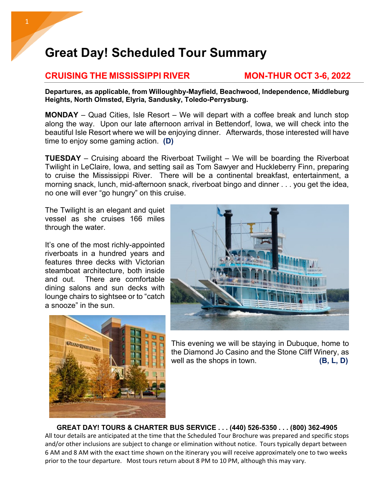## **Great Day! Scheduled Tour Summary**

## **CRUISING THE MISSISSIPPI RIVER MON-THUR OCT 3-6, 2022**

**Departures, as applicable, from Willoughby-Mayfield, Beachwood, Independence, Middleburg Heights, North Olmsted, Elyria, Sandusky, Toledo-Perrysburg.** 

**MONDAY** – Quad Cities, Isle Resort – We will depart with a coffee break and lunch stop along the way. Upon our late afternoon arrival in Bettendorf, Iowa, we will check into the beautiful Isle Resort where we will be enjoying dinner. Afterwards, those interested will have time to enjoy some gaming action. **(D)**

**TUESDAY** – Cruising aboard the Riverboat Twilight – We will be boarding the Riverboat Twilight in LeClaire, Iowa, and setting sail as Tom Sawyer and Huckleberry Finn, preparing to cruise the Mississippi River. There will be a continental breakfast, entertainment, a morning snack, lunch, mid-afternoon snack, riverboat bingo and dinner . . . you get the idea, no one will ever "go hungry" on this cruise.

The Twilight is an elegant and quiet vessel as she cruises 166 miles through the water.

It's one of the most richly-appointed riverboats in a hundred years and features three decks with Victorian steamboat architecture, both inside and out. There are comfortable dining salons and sun decks with lounge chairs to sightsee or to "catch a snooze" in the sun.





This evening we will be staying in Dubuque, home to the Diamond Jo Casino and the Stone Cliff Winery, as well as the shops in town. **(B, L, D)** 

**GREAT DAY! TOURS & CHARTER BUS SERVICE . . . (440) 526-5350 . . . (800) 362-4905** All tour details are anticipated at the time that the Scheduled Tour Brochure was prepared and specific stops and/or other inclusions are subject to change or elimination without notice. Tours typically depart between 6 AM and 8 AM with the exact time shown on the itinerary you will receive approximately one to two weeks prior to the tour departure. Most tours return about 8 PM to 10 PM, although this may vary.